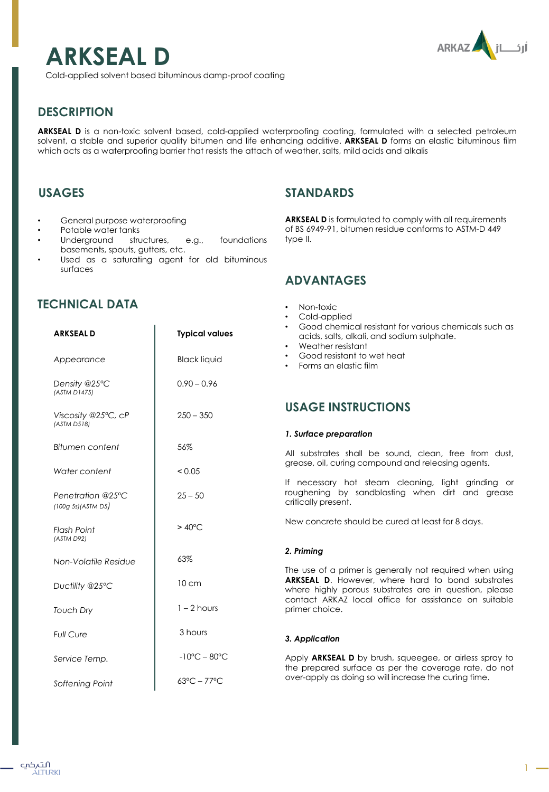# ARKAZ jLji

## **ARKSEAL D**

Cold-applied solvent based bituminous damp-proof coating

## **DESCRIPTION**

**ARKSEAL D** is a non-toxic solvent based, cold-applied waterproofing coating, formulated with a selected petroleum solvent, a stable and superior quality bitumen and life enhancing additive. **ARKSEAL D** forms an elastic bituminous film which acts as a waterproofing barrier that resists the attach of weather, salts, mild acids and alkalis

## **USAGES**

- General purpose waterproofing
- Potable water tanks
- Underground structures, e.g., foundations basements, spouts, gutters, etc.
- Used as a saturating agent for old bituminous surfaces

## **TECHNICAL DATA**

**ARKSEAL D** is formulated to comply with all requirements of BS 6949-91, bitumen residue conforms to ASTM-D 449 type II.

## **ADVANTAGES**

**STANDARDS** 

| CHNICAL DATA                            |                                   | Non-toxic<br>$\bullet$<br>Cold-applied                                                                                                                                                                    |
|-----------------------------------------|-----------------------------------|-----------------------------------------------------------------------------------------------------------------------------------------------------------------------------------------------------------|
| <b>ARKSEALD</b>                         | <b>Typical values</b>             | Good chemical resistant for various chemicals such as<br>acids, salts, alkali, and sodium sulphate.<br>Weather resistant<br>Good resistant to wet heat<br>$\bullet$<br>Forms an elastic film<br>$\bullet$ |
| Appearance                              | <b>Black liquid</b>               |                                                                                                                                                                                                           |
| Density @25°C<br>(ASTM D1475)           | $0.90 - 0.96$                     |                                                                                                                                                                                                           |
| Viscosity @25°C, cP<br>(ASTM D518)      | $250 - 350$                       | <b>USAGE INSTRUCTIONS</b>                                                                                                                                                                                 |
|                                         |                                   | 1. Surface preparation                                                                                                                                                                                    |
| Bitumen content                         | 56%                               | All substrates shall be sound, clean, free from dust,<br>grease, oil, curing compound and releasing agents.                                                                                               |
| Water content                           | < 0.05                            |                                                                                                                                                                                                           |
| Penetration @25°C<br>(100g 5s)/ASTM D5) | $25 - 50$                         | If necessary hot steam cleaning, light grinding or<br>roughening by sandblasting when dirt and grease<br>critically present.                                                                              |
| <b>Flash Point</b><br>(ASTM D92)        | $>40^{\circ}$ C                   | New concrete should be cured at least for 8 days.                                                                                                                                                         |
|                                         | 63%                               | 2. Priming                                                                                                                                                                                                |
| Non-Volatile Residue                    |                                   | The use of a primer is generally not required when using                                                                                                                                                  |
| Ductility @25°C                         | $10 \text{ cm}$                   | <b>ARKSEAL D.</b> However, where hard to bond substrates<br>where highly porous substrates are in question, please<br>contact ARKAZ local office for assistance on suitable<br>primer choice.             |
| <b>Touch Dry</b>                        | $1 - 2$ hours                     |                                                                                                                                                                                                           |
| <b>Full Cure</b>                        | 3 hours                           | 3. Application                                                                                                                                                                                            |
| Service Temp.                           | $-10^{\circ}$ C – 80 $^{\circ}$ C | Apply <b>ARKSEAL D</b> by brush, squeegee, or airless spray to<br>the prepared surface as per the coverage rate, do not                                                                                   |
| Softening Point                         | $63^{\circ}$ C – 77 $^{\circ}$ C  | over-apply as doing so will increase the curing time.                                                                                                                                                     |